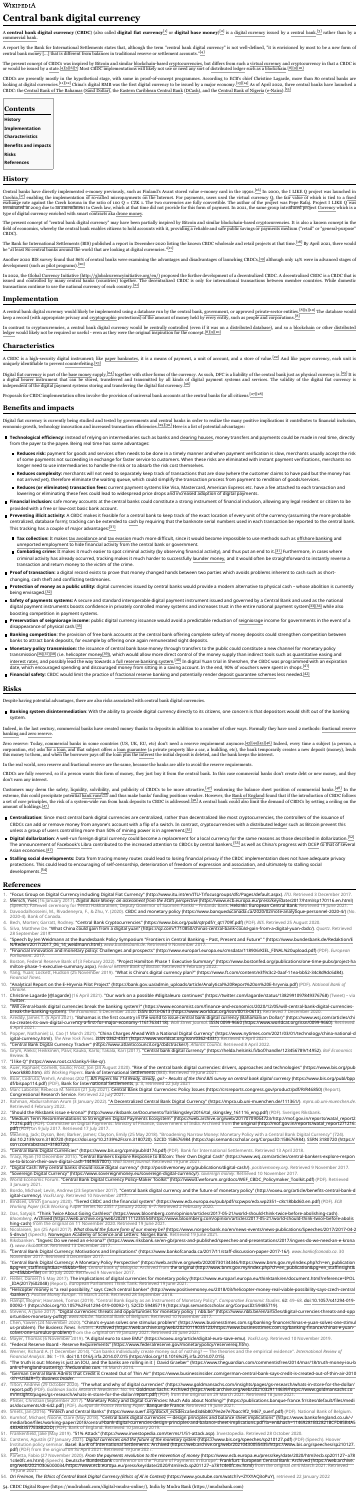# **Central bank digital currency**

A **central bank digital [currency](https://en.wikipedia.org/wiki/Digital_currency) (CBDC)** (also called **digital fiat currency**[\[1\]](https://en.wikipedia.org/wiki/Central_bank_digital_currency#cite_note-1) or **digital base money**)[\[2\]](https://en.wikipedia.org/wiki/Central_bank_digital_currency#cite_note-2) is a digital currency issued by a [central](https://en.wikipedia.org/wiki/Central_bank) bank,[\[3\]](https://en.wikipedia.org/wiki/Central_bank_digital_currency#cite_note-3) rather than by a [commercial](https://en.wikipedia.org/wiki/Commercial_bank) bank.

A report by the Bank for [International](https://en.wikipedia.org/wiki/Bank_for_International_Settlements) Settlements states that, although the term "central bank digital currency" is not well-defined, "it is envisioned by most to be a new form of central bank money [...] that is different from balances in traditional reserve or settlement accounts."[\[4\]](https://en.wikipedia.org/wiki/Central_bank_digital_currency#cite_note-bis-4)

The present concept of CBDCs was inspired by [Bitcoin](https://en.wikipedia.org/wiki/Bitcoin) and similar [blockchain-](https://en.wikipedia.org/wiki/Blockchain)based [cryptocurrencies,](https://en.wikipedia.org/wiki/Cryptocurrency) but differs from such a virtual [currency](https://en.wikipedia.org/wiki/Virtual_currency) and cryptocurrency in that a CBDC is or would be issued by a [state.](https://en.wikipedia.org/wiki/State_(polity)) [\[4\]](https://en.wikipedia.org/wiki/Central_bank_digital_currency#cite_note-bis-4)[\[5\]](https://en.wikipedia.org/wiki/Central_bank_digital_currency#cite_note-5)[\[6\]](https://en.wikipedia.org/wiki/Central_bank_digital_currency#cite_note-6)[\[7\]](https://en.wikipedia.org/wiki/Central_bank_digital_currency#cite_note-7) Most CBDC implementations will likely not use or need any sort of [distributed](https://en.wikipedia.org/wiki/Distributed_ledger) ledger such as a [blockchain.](https://en.wikipedia.org/wiki/Blockchain) [\[8\]](https://en.wikipedia.org/wiki/Central_bank_digital_currency#cite_note-Hamilton-8)[\[9\]](https://en.wikipedia.org/wiki/Central_bank_digital_currency#cite_note-ftChina-9)[\[10\]](https://en.wikipedia.org/wiki/Central_bank_digital_currency#cite_note-ukraine-10)

CBDCs are presently mostly in the hypothetical stage, with some in proof-of-concept programmes. According to ECB's chief Christine Lagarde, more than 80 central banks are looking at digital currencies.<sup>[\[11\]](https://en.wikipedia.org/wiki/Central_bank_digital_currency#cite_note-legarde20210416-11)[\[12\]](https://en.wikipedia.org/wiki/Central_bank_digital_currency#cite_note-12)</sup> China's [digital](https://en.wikipedia.org/wiki/Digital_RMB) RMB was the first digital currency to be issued by a major economy.<sup>[\[13\]](https://en.wikipedia.org/wiki/Central_bank_digital_currency#cite_note-:0-13)[\[14\]](https://en.wikipedia.org/wiki/Central_bank_digital_currency#cite_note-14)</sup> As of April 2022, three central banks have launched a CBDC: the Central Bank of The [Bahamas](https://en.wikipedia.org/wiki/Central_Bank_of_The_Bahamas) (Sand [Dollar\)](https://en.wikipedia.org/w/index.php?title=Sand_Dollar_(currency)&action=edit&redlink=1), the Eastern [Caribbean](https://en.wikipedia.org/wiki/Eastern_Caribbean_Central_Bank) Central Bank [\(DCash\)](https://en.wikipedia.org/w/index.php?title=DCash&action=edit&redlink=1), and the [Central](https://en.wikipedia.org/wiki/Central_Bank_of_Nigeria) Bank of Nigeria [\(e-Naira\)](https://en.wikipedia.org/w/index.php?title=E-Naira&action=edit&redlink=1).<sup>[\[15\]](https://en.wikipedia.org/wiki/Central_bank_digital_currency#cite_note-15)</sup>

Central banks have directly implemented [e-money](https://en.wikipedia.org/wiki/Digital_currency) previously, such as [Finland](https://en.wikipedia.org/wiki/Finland)'s Avant stored value e-money card in the 1990s.<sup>[\[16\]](https://en.wikipedia.org/wiki/Central_bank_digital_currency#cite_note-bof2017-16)</sup> In 2000, the I [LIKE](https://en.wikipedia.org/w/index.php?title=I_LIKE_Q&action=edit&redlink=1) Q project was launched in [Czechia,](https://en.wikipedia.org/wiki/Czech_Republic)  $[17]$  enabling the [implementation](https://en.wikipedia.org/wiki/Fixed_exchange_rate_system) of so-called micropayments on the Internet. For payments, users used the virtual currency [Q,](https://en.wikipedia.org/wiki/Q_(currency)) the fair value of which is tied to a fixed exchange rate against the Czech [koruna](https://en.wikipedia.org/wiki/Czech_koruna) in the ratio of 100 Q = CZK 1. The two currencies are fully convertible. The author of the project was Pepe [Rafaj.](https://en.wikipedia.org/w/index.php?title=Pepe_Rafaj&action=edit&redlink=1) Project I LIKE Q was terminated in 2003 due to an amendment to [Czech](https://en.wikipedia.org/wiki/Law_of_the_Czech_Republic) law, which at that time did not provide for this form of payment. In 2021, the same group introduced project [Corrency](https://en.wikipedia.org/w/index.php?title=Corrency&action=edit&redlink=1) which is a type of digital currency enriched with smart contracts aka drone [money.](https://en.wikipedia.org/wiki/Drone_money)

In 2022, the Global Currency Initiative [\(http://globalcurrencyinitiative.org/en/\)](http://globalcurrencyinitiative.org/en/) proposed the further development of a decentralized CBDC. A decentralized CBDC is a CBDC that is issued and controlled by many central banks (countries) together. The decentralized CBDC is only for international transactions between member countries. While domestic transactions continue to use the national currency of each country. [\[21\]](https://en.wikipedia.org/wiki/Central_bank_digital_currency#cite_note-21)

In contrast to [cryptocurrencies,](https://en.wikipedia.org/wiki/Distributed_ledger) a central bank digital currency would be centrally [controlled](https://en.wikipedia.org/wiki/Centralized) (even if it was on a [distributed](https://en.wikipedia.org/wiki/Distributed_database) database), and so a [blockchain](https://en.wikipedia.org/wiki/Blockchain) or other distributed ledger would likely not be required or useful - even as they were the original inspiration for the concept. [\[8\]](https://en.wikipedia.org/wiki/Central_bank_digital_currency#cite_note-Hamilton-8)[\[9\]](https://en.wikipedia.org/wiki/Central_bank_digital_currency#cite_note-ftChina-9)[\[10\]](https://en.wikipedia.org/wiki/Central_bank_digital_currency#cite_note-ukraine-10)

A CBDC is a high-security digital instrument; like paper [banknotes,](https://en.wikipedia.org/wiki/Banknote) it is a means of payment, a unit of account, and a store of value.<sup>[\[22\]](https://en.wikipedia.org/wiki/Central_bank_digital_currency#cite_note-22)</sup> And like paper currency, each unit is uniquely identifiable to prevent [counterfeiting.](https://en.wikipedia.org/wiki/Counterfeit_money) [\[23\]](https://en.wikipedia.org/wiki/Central_bank_digital_currency#cite_note-23)

Digital fiat [currency](https://en.wikipedia.org/wiki/Fiat_money) is part of the base [money](https://en.wikipedia.org/wiki/Monetary_base) supply,<sup>[\[24\]](https://en.wikipedia.org/wiki/Central_bank_digital_currency#cite_note-24)</sup> together with other forms of the currency. As such, DFC is a liability of the central bank just as physical currency is.<sup>[\[25\]](https://en.wikipedia.org/wiki/Central_bank_digital_currency#cite_note-25)</sup> It is

a digital bearer [instrument](https://en.wikipedia.org/wiki/Bearer_instrument) that can be stored, transferred and transmitted by all kinds of digital payment systems and services. The validity of the digital fiat currency is independent of the digital payment systems storing and transferring the digital fiat currency. [\[26\]](https://en.wikipedia.org/wiki/Central_bank_digital_currency#cite_note-26)

Proposals for CBDC implementation often involve the provision of universal bank accounts at the central banks for all citizens. [\[27\]](https://en.wikipedia.org/wiki/Central_bank_digital_currency#cite_note-27)[\[28\]](https://en.wikipedia.org/wiki/Central_bank_digital_currency#cite_note-28)

The present concept of "central bank digital currency" may have been partially inspired by [Bitcoin](https://en.wikipedia.org/wiki/Bitcoin) and similar [blockchain-](https://en.wikipedia.org/wiki/Blockchain)based [cryptocurrencies.](https://en.wikipedia.org/wiki/Cryptocurrencies) It is also a known concept in the field of economics, whereby the central bank enables citizens to hold accounts with it, providing a reliable and safe public savings or payments medium ("retail" or "general-purpose" CBDC).

The Bank for [International](https://en.wikipedia.org/wiki/Bank_for_International_Settlements) Settlements (BIS) published a report in December 2020 listing the known CBDC wholesale and retail projects at that time.<sup>[\[18\]](https://en.wikipedia.org/wiki/Central_bank_digital_currency#cite_note-18)</sup> By April 2021, there would be "at least 80 central banks around the world that are looking at digital currencies."[\[11\]](https://en.wikipedia.org/wiki/Central_bank_digital_currency#cite_note-legarde20210416-11)

Another 2020 BIS survey found that 86% of central banks were examining the advantages and disadvantages of launching CBDCs, [\[19\]](https://en.wikipedia.org/wiki/Central_bank_digital_currency#cite_note-19) although only 14% were in advanced stages of development (such as pilot [programs\)](https://en.wikipedia.org/wiki/Pilot_experiment).<sup>[\[20\]](https://en.wikipedia.org/wiki/Central_bank_digital_currency#cite_note-CRS1-20)</sup>

Digital fiat currency is currently being studied and tested by governments and central banks in order to realize the many positive implications it contributes to financial inclusion, economic growth, technology innovation and increased transaction efficiencies.<sup>[\[29\]](https://en.wikipedia.org/wiki/Central_bank_digital_currency#cite_note-29)[\[30\]](https://en.wikipedia.org/wiki/Central_bank_digital_currency#cite_note-30)</sup> Here is a list of potential advantages:

- Technological efficiency: instead of relying on intermediaries such as banks and [clearing](https://en.wikipedia.org/wiki/Clearing_house_(finance)) houses, money transfers and payments could be made in real time, directly from the payer to the payee. Being real time has some advantages:
	- Reduces risk: payment for goods and services often needs to be done in a timely manner and when payment verification is slow, merchants usually accept the risk of some payments not succeeding in exchange for faster service to customers. When these risks are eliminated with instant payment verifications, merchants no longer need to use intermediaries to handle the risk or to absorb the risk cost themselves.
	- Reduces complexity: merchants will not need to separately keep track of transactions that are slow (where the customer claims to have paid but the money has not arrived yet), therefore eliminate the waiting queue, which could simplify the transaction process from payment to rendition of goods/services.
	- **Reduces (or eliminates) transaction fees:** current payment systems like [Visa,](https://en.wikipedia.org/wiki/Visa_Inc.) [Mastercard,](https://en.wikipedia.org/wiki/Mastercard) [American](https://en.wikipedia.org/wiki/American_Express) Express etc. have a fee attached to each transaction and lowering or eliminating these fees could lead to widespread price drops and increased adoption of digital payments.
- Financial inclusion: safe money accounts at the central banks could constitute a strong instrument of financial inclusion, allowing any legal resident or citizen to be provided with a free or low-cost basic bank account.
- **Preventing illicit activity:** A CBDC makes it feasible for a central bank to keep track of the exact location of every unit of the currency (assuming the more probable centralized, database form); tracking can be extended to [cash](https://en.wikipedia.org/wiki/Cash) by requiring that the banknote serial numbers used in each transaction be reported to the central bank. This tracking has a couple of major advantages:<u><sup>[\[31\]](https://en.wikipedia.org/wiki/Central_bank_digital_currency#cite_note-ecb-31)</sup></u>
	- **Tax collection:** It makes tax [avoidance](https://en.wikipedia.org/wiki/Tax_avoidance) and tax [evasion](https://en.wikipedia.org/wiki/Tax_evasion) much more difficult, since it would become impossible to use methods such as [offshore](https://en.wikipedia.org/wiki/Offshore_banking) banking and unreported [employment](https://en.wikipedia.org/wiki/Unreported_employment) to hide financial activity from the central bank or government.
	- **Combating crime:** It makes it much easier to spot criminal activity (by observing financial activity), and thus put an end to it.<sup>[\[31\]](https://en.wikipedia.org/wiki/Central_bank_digital_currency#cite_note-ecb-31)</sup> Furthermore, in cases where criminal activity has already occurred, tracking makes it much harder to successfully [launder](https://en.wikipedia.org/wiki/Money_laundering) money, and it would often be straightforward to instantly reverse a transaction and return money to the victim of the crime.
- **Proof of transaction:** a digital record exists to prove that money changed hands between two parties which avoids problems inherent to cash such as shortchanging, cash theft and conflicting testimonies.
- Protection of money as a public utility: digital currencies issued by central banks would provide a modern alternative to physical cash whose abolition is currently being envisaged.<sup>[\[32\]](https://en.wikipedia.org/wiki/Central_bank_digital_currency#cite_note-32)</sup>
- Safety of payments systems: A secure and standard interoperable digital payment instrument issued and governed by a Central Bank and used as the national digital payment instruments boosts confidence in privately controlled money systems and increases trust in the entire national payment system<sup>[\[33\]](https://en.wikipedia.org/wiki/Central_bank_digital_currency#cite_note-33)[\[34\]](https://en.wikipedia.org/wiki/Central_bank_digital_currency#cite_note-34)</sup> while also boosting competition in payment systems.
- Preservation of [seigniorage](https://en.wikipedia.org/wiki/Seigniorage) income: public digital currency issuance would avoid a predictable reduction of seigniorage income for governments in the event of a disappearance of physical cash.<sup>[\[35\]](https://en.wikipedia.org/wiki/Central_bank_digital_currency#cite_note-35)</sup>
- Banking competition: the provision of free bank accounts at the central bank offering complete safety of money deposits could strengthen competition between banks to attract bank deposits, for example by offering once again remunerated sight deposits.
- Monetary policy transmission: the issuance of central bank base money through transfers to the public could constitute a new channel for monetary policy transmission<sup>[\[36\]](https://en.wikipedia.org/wiki/Central_bank_digital_currency#cite_note-36)[\[37\]](https://en.wikipedia.org/wiki/Central_bank_digital_currency#cite_note-37)[\[38\]](https://en.wikipedia.org/wiki/Central_bank_digital_currency#cite_note-38)</sup> (i.e. [helicopter](https://en.wikipedia.org/wiki/Helicopter_money) money<sup>[\[39\]](https://en.wikipedia.org/wiki/Central_bank_digital_currency#cite_note-39)</sup>), which would allow more direct control of the money supply than indirect tools such as [quantitative](https://en.wikipedia.org/wiki/Quantitative_easing) easing and [interest](https://en.wikipedia.org/wiki/Interest_rate_channel) rates, and possibly lead the way towards a full reserve [banking](https://en.wikipedia.org/wiki/Full-reserve_banking) system. $^{[40]}$  $^{[40]}$  $^{[40]}$  In digital Yuan trial in Shenzhen, the CBDC was programmed with an expiration date, which encouraged spending and discouraged money from sitting in a saving account. In the end, 90% of vouchers were spent in shops. $^{\text{[41]}}$  $^{\text{[41]}}$  $^{\text{[41]}}$
- **Financial safety:** CBDC would limit the practice of [fractional](https://en.wikipedia.org/wiki/Fractional-reserve_banking) reserve banking and potentially render deposit [guarantee](https://en.wikipedia.org/wiki/Deposit_insurance) schemes less needed. [\[42\]](https://en.wikipedia.org/wiki/Central_bank_digital_currency#cite_note-42)

■ Banking system disintermediation: With the ability to provide digital currency directly to its citizens, one concern is that depositors would shift out of the banking system.

Zero reserve: Today, [commercial](https://en.wikipedia.org/wiki/Commercial_bank) banks in some countries (US, UK, EU, etc) don't need a reserve requirement anymore.<sup>[\[43\]](https://en.wikipedia.org/wiki/Central_bank_digital_currency#cite_note-43)[\[44\]](https://en.wikipedia.org/wiki/Central_bank_digital_currency#cite_note-44)[\[45\]](https://en.wikipedia.org/wiki/Central_bank_digital_currency#cite_note-45)[\[46\]](https://en.wikipedia.org/wiki/Central_bank_digital_currency#cite_note-46)</sup> Indeed, every time a subject (a person, a corporation, etc) asks for a [loan,](https://en.wikipedia.org/wiki/Loan) and that subject offers a loan [guarantee](https://en.wikipedia.org/wiki/Loan_guarantee) (a private property like a car, a building, etc), the bank temporarily creates a new deposit (money), lends this money to them, and when the borrower pays off the loan plus the [interest](https://en.wikipedia.org/wiki/Interest) the initial deposit is deleted, and the bank keeps the interest.

Despite having potential advantages, there are also risks associated with central bank digital currencies.

Indeed, in the last century, [commercial](https://en.wikipedia.org/wiki/Fractional_reserve_banking) banks have created money thanks to deposits in addition to a number of other ways. Formally they have used 2 methods: fractional reserve banking and zero [reserve.](https://en.wikipedia.org/w/index.php?title=Zero_reserve&action=edit&redlink=1)

In the real world, zero reserve and fractional reserve are the same, because the banks are able to avoid the reserve requirements.

CBDCs are fully reserved, so if a person wants this form of money, they just buy it from the central bank. In this case commercial banks don't create debt or new money, and they don't earn any interest.

Customers may deem the safety, [liquidity,](https://en.wikipedia.org/wiki/Accounting_liquidity) [solvibility,](https://en.wikipedia.org/wiki/Solvency) and publicity of CBDCs to be more attractive, [\[47\]](https://en.wikipedia.org/wiki/Central_bank_digital_currency#cite_note-GS_whatwhy-47) weakening the balance sheet position of commercial banks. [\[48\]](https://en.wikipedia.org/wiki/Central_bank_digital_currency#cite_note-48) In the extreme, this could precipitate potential [bank](https://en.wikipedia.org/wiki/Bank_run) runs<sup>[\[49\]](https://en.wikipedia.org/wiki/Central_bank_digital_currency#cite_note-49)</sup> and thus make banks' funding positions weaker. However, the Bank of [England](https://en.wikipedia.org/wiki/Bank_of_England) found that if the introduction of CBDC follows a set of core principles, the risk of a system-wide run from bank deposits to CBDC is addressed. [\[50\]](https://en.wikipedia.org/wiki/Central_bank_digital_currency#cite_note-50) A central bank could also limit the demand of CBDCs by setting a ceiling on the amount of holdings.<sup>[\[47\]](https://en.wikipedia.org/wiki/Central_bank_digital_currency#cite_note-GS_whatwhy-47)</sup>

- **Centralization**: Since most central bank digital currencies are centralized, rather than decentralized like most cryptocurrencies, the controllers of the issuance of CBDCs can add or remove money from anyone's account with a flip of a switch. In contrast, cryptocurrencies with a [distributed](https://en.wikipedia.org/wiki/Distributed_ledger) ledger such as Bitcoin prevent this unless a group of users controlling more than 50% of [mining](https://en.wikipedia.org/wiki/Bitcoin_mining) power is in agreement.<sup>[\[51\]](https://en.wikipedia.org/wiki/Central_bank_digital_currency#cite_note-51)</sup>
- **Digital dollarization**: A well-run foreign digital currency could become a replacement for a local currency for the same reasons as those described in [dollarization](https://en.wikipedia.org/wiki/Dollarization). [\[52\]](https://en.wikipedia.org/wiki/Central_bank_digital_currency#cite_note-52) The announcement of [Facebook's](https://en.wikipedia.org/wiki/Facebook) [Libra](https://en.wikipedia.org/wiki/Diem_(digital_currency)) contributed to the increased attention to CBDCs by central bankers,<sup>[\[53\]](https://en.wikipedia.org/wiki/Central_bank_digital_currency#cite_note-53)</sup> as well as China's progress with [DCEP](https://en.wikipedia.org/wiki/DCEP) to that of several Asian economies. $\frac{[47]}{[2]}$  $\frac{[47]}{[2]}$  $\frac{[47]}{[2]}$
- Stalling social developments: Data from tracing money routes could lead to losing financial privacy if the CBDC implementation does not have adequate privacy protections. This could lead to encouraging of self-censorship, deterioration of freedom of [expression](https://en.wikipedia.org/wiki/Freedom_of_speech) and [association](https://en.wikipedia.org/wiki/Freedom_of_association), and ultimately to stalling social developments.<sup>[\[54\]](https://en.wikipedia.org/wiki/Central_bank_digital_currency#cite_note-54)</sup>

- 1. "Focus Group on Digital Currency including Digital Fiat Currency" [\(http://www.itu.int/en/ITU-T/focusgroups/dfc/Pages/default.aspx\)](http://www.itu.int/en/ITU-T/focusgroups/dfc/Pages/default.aspx). *ITU*. Retrieved 3 December 2017.
- 2. [Mersch,](https://en.wikipedia.org/wiki/Yves_Mersch) Yves (16 January 2017). Digital Base Money: an assessment from the ECB's perspective [\(https://www.ecb.europa.eu/press/key/date/2017/html/sp170116.en.html\)](https://www.ecb.europa.eu/press/key/date/2017/html/sp170116.en.html) (Speech). Farewell ceremony for Pentti Hakkarainen, Deputy Governor of Suomen Pankki – Finlands Bank. [Helsinki](https://en.wikipedia.org/wiki/Helsinki): [European](https://en.wikipedia.org/wiki/European_Central_Bank) Central Bank. Retrieved 19 June 2021.
- 3. Davoodalhosseini, M., Rivadeneyra, F., & Zhu, Y. (2020). CBDC and monetary policy [\(https://www.banqueducanada.ca/2020/02/note-analytique-personnel-2020-4/\)](https://www.banqueducanada.ca/2020/02/note-analytique-personnel-2020-4/) (No. 2020-4). Bank of Canada.
- 4. Bech, Morten; Garratt, Rodney. "Central Bank Cryptocurrencies" [\(https://www.bis.org/publ/qtrpdf/r\\_qt1709f.pdf\)](https://www.bis.org/publ/qtrpdf/r_qt1709f.pdf) (PDF). *BIS*. Retrieved 25 August 2020.
- 5. Silva, Matthew De. "What China could gain from a digital yuan" [\(https://qz.com/1710850/chinas-central-bank-could-gain-from-a-digital-yuan-cbdc/\)](https://qz.com/1710850/chinas-central-bank-could-gain-from-a-digital-yuan-cbdc/). *Quartz*. Retrieved 28 September 2019.
- 6. "Speech by Jen Weidmann at the Bundesbank Policy Symposium "Frontiers in Central Banking Past, Present and Future" " (https://www.bundesbank.de/Redaktion/E [N/Reden/2017/2017\\_06\\_14\\_weidmann.html\).](https://www.bundesbank.de/Redaktion/EN/Reden/2017/2017_06_14_weidmann.html) *www.bundesbank.de*. Retrieved 9 November 2017.
- 7. "Financial innovation and monetary policy: Challenges and prospects" [\(http://www.europarl.europa.eu/cmsdata/118906/KIEL\\_FINAL%20upload.pdf\)](http://www.europarl.europa.eu/cmsdata/118906/KIEL_FINAL%20upload.pdf) (PDF). *European Parliament*. 2017.
- 8. Boston, Federal Reserve Bank of (3 February 2022). "Project Hamilton Phase 1 Executive Summary" [\(https://www.bostonfed.org/publications/one-time-pubs/project-ha](https://www.bostonfed.org/publications/one-time-pubs/project-hamilton-phase-1-executive-summary.aspx) milton-phase-1-executive-summary.aspx). *Federal Reserve Bank of Boston*. Retrieved 9 February 2022.
- 9. Yang, Yuan; Lockett, Hudson (25 November 2019). "What is China's digital currency plan?" [\(https://www.ft.com/content/e3f9c3c2-0aaf-11ea-bb52-34c8d9dc6d84\)](https://www.ft.com/content/e3f9c3c2-0aaf-11ea-bb52-34c8d9dc6d84). *Financial Times*.
- 10. "Analytical Report on the E-Hryvnia Pilot Project" [\(https://bank.gov.ua/admin\\_uploads/article/Analytical%20Report%20on%20E-hryvnia.pdf\)](https://bank.gov.ua/admin_uploads/article/Analytical%20Report%20on%20E-hryvnia.pdf) (PDF). *National Bank of Ukraine*.
- 11. Christine Lagarde [\[@lagarde\]](https://en.wikipedia.org/wiki/Christine_Lagarde) (16 April 2021). "Our work on a possible #digitaleuro continues" [\(https://twitter.com/lagarde/status/1382991097849376768\)](https://twitter.com/lagarde/status/1382991097849376768) (Tweet) via [Twitter](https://en.wikipedia.org/wiki/Twitter).
- 12. "Will central-bank digital currencies break the banking system?" [\(https://www.economist.com/finance-and-economics/2020/12/05/will-central-bank-digital-currencies](https://www.economist.com/finance-and-economics/2020/12/05/will-central-bank-digital-currencies-break-the-banking-system)break-the-banking-system). *The Economist*. 5 December 2020. [ISSN](https://en.wikipedia.org/wiki/ISSN_(identifier)) 0013-0613 [\(https://www.worldcat.org/issn/0013-0613\)](https://www.worldcat.org/issn/0013-0613). Retrieved 7 December 2020.
- 13. Areddy, James T. (5 April 2021). "Bahamas is the first country in the world to issue central bank digital currency (Bahamanian Dollar)" (https://www.wsj.com/articles/chi [na-creates-its-own-digital-currency-a-first-for-major-economy-11617634118\).](https://www.wsj.com/articles/china-creates-its-own-digital-currency-a-first-for-major-economy-11617634118) *Wall Street Journal*. [ISSN](https://en.wikipedia.org/wiki/ISSN_(identifier)) 0099-9660 [\(https://www.worldcat.org/issn/0099-9660\)](https://www.worldcat.org/issn/0099-9660). Retrieved 6 April 2021.
- 14. Popper, Nathaniel; Li, Cao (1 March 2021). "China Charges Ahead With a National Digital Currency" [\(https://www.nytimes.com/2021/03/01/technology/china-national-d](https://www.nytimes.com/2021/03/01/technology/china-national-digital-currency.html) igital-currency.html). *The New York Times*. [ISSN](https://en.wikipedia.org/wiki/ISSN_(identifier)) 0362-4331 [\(https://www.worldcat.org/issn/0362-4331\)](https://www.worldcat.org/issn/0362-4331). Retrieved 6 April 2021.
- 15. "Central Bank Digital Currency Tracker" [\(https://www.atlanticcouncil.org/cbdctracker/\)](https://www.atlanticcouncil.org/cbdctracker/). *Atlantic Council*. Retrieved 8 April 2022.
- 16. Grym, Aleksi; Heikkinen, Päivi; Kauko, Karlo; Takala, Kari (2017). "Central bank digital currency" [\(https://helda.helsinki.fi/bof/handle/123456789/14952\)](https://helda.helsinki.fi/bof/handle/123456789/14952). *BoF Economics Review*. **5**.
- 17. "I like Q" [\(https://www.root.cz/clanky/i-like-q/\)](https://www.root.cz/clanky/i-like-q/).
- 18. Auer, Raphael; Cornelli, Giulio; Frost, Jon (24 August 2020). "Rise of the central bank digital currencies: drivers, approaches and technologies" [\(https://www.bis.org/pub](https://www.bis.org/publ/work880.htm) l/work880.htm). *BIS Working Papers*. Bank of [International](https://en.wikipedia.org/wiki/Bank_of_International_Settlements) Settlements (880). Retrieved 19 June 2021.
- 19. Boar, Codruta; Wehrli, Andreas (2021), BIS Papers No 114 Ready, steady, go? Results of the third BIS survey on central bank digital currency [\(https://www.bis.org/publ/bpp](https://www.bis.org/publ/bppdf/bispap114.pdf) df/bispap114.pdf) (PDF), Bank for [International](https://en.wikipedia.org/wiki/Bank_for_International_Settlements) Settlements, p. 3, retrieved 22 July 2021
- 20. Marc Labonte; Rebecca M. Nelson (21 July 2021). Central Bank Digital Currencies: Policy Issues [\(https://crsreports.congress.gov/product/pdf/R/R46850\)](https://crsreports.congress.gov/product/pdf/R/R46850) (Report). [Congressional](https://en.wikipedia.org/wiki/Congressional_Research_Service) Research Service. Retrieved 22 July 2021.
- 21. Rahman, Abdurrahman Arum (3 January 2022). "A Decentralized Central Bank Digital Currency" [\(https://mpra.ub.uni-muenchen.de/111361/\)](https://mpra.ub.uni-muenchen.de/111361/). *mpra.ub.uni-muenchen.de*. Retrieved 4 February 2022.
- 22. "Should the Riksbank issue e-krona?" [\(http://www.riksbank.se/Documents/Tal/Skingsley/2016/tal\\_skingsley\\_161116\\_eng.pdf\)](http://www.riksbank.se/Documents/Tal/Skingsley/2016/tal_skingsley_161116_eng.pdf) (PDF). Sveriges Riksbank.
- 23. "Medium Term Recommendations to Strengthen Digital Payments Ecosystem" [\(https://web.archive.org/web/20170709064723/http://mof.gov.in/reports/watal\\_report2](https://web.archive.org/web/20170709064723/http://mof.gov.in/reports/watal_report271216.pdf) 71216.pdf) (PDF). Committee on Digital Payments: Ministry of Finance, Government of India. Archived from the original [\(http://mof.gov.in/reports/watal\\_report271216.](http://mof.gov.in/reports/watal_report271216.pdf)

pdf) (PDF) on 9 July 2017. Retrieved 17 July 2017.

- 24. Meaning, Jack; Dyson, Ben; Barker, James; Clayton, Emily (25 May 2018). "Broadening Narrow Money: Monetary Policy with a Central Bank Digital Currency" (724). [doi](https://en.wikipedia.org/wiki/Doi_(identifier)):10.2139/ssrn.3180720 [\(https://doi.org/10.2139%2Fssrn.3180720\)](https://doi.org/10.2139%2Fssrn.3180720). [S2CID](https://en.wikipedia.org/wiki/S2CID_(identifier)) 158676984 [\(https://api.semanticscholar.org/CorpusID:158676984](https://api.semanticscholar.org/CorpusID:158676984)[\).](https://ssrn.com/abstract=3180720) [SSRN](https://en.wikipedia.org/wiki/SSRN_(identifier)) 3180720 (https:// ssrn.com/abstract=3180720).
- 25. "Central Bank Digital Currencies" [\(https://www.bis.org/cpmi/publ/d174.pdf\)](https://www.bis.org/cpmi/publ/d174.pdf) (PDF). Bank for International Settlements. Retrieved 13 April 2018.
- 26. Tracy, Ryan (10 December 2015). "Central Bankers Explore Response to Bitcoin: Their Own Digital Cash" [\(https://www.wsj.com/articles/central-bankers-explore-respon](https://www.wsj.com/articles/central-bankers-explore-response-to-bitcoin-their-own-digital-cash-1449657001) se-to-bitcoin-their-own-digital-cash-1449657001). *Wall Street Journal*. Retrieved 19 June 2021.
- 27. "Digital Cash: Why central banks should issue digital currency" [\(http://positivemoney.org/publications/digital-cash/\)](http://positivemoney.org/publications/digital-cash/). *positivemoney.org*. Retrieved 9 November 2017.
- 28. "Sovereign Digital Currency" [\(https://www.sovereignmoney.eu/sovereign-digital-currency/\)](https://www.sovereignmoney.eu/sovereign-digital-currency/). *sovereign money*. Retrieved 10 November 2017.
- 29. World Economic Forum. "Central Bank Digital Currency Policy-Maker Toolkit" [\(http://www3.weforum.org/docs/WEF\\_CBDC\\_Policymaker\\_Toolkit.pdf\)](http://www3.weforum.org/docs/WEF_CBDC_Policymaker_Toolkit.pdf) (PDF). Retrieved 3 January 2021.
- 30. Bordo, Michael; Levin, Andrew (23 September 2017). "Central bank digital currency and the future of monetary policy" [\(http://voxeu.org/article/benefits-central-bank-d](http://voxeu.org/article/benefits-central-bank-digital-currency) igital-currency). *VoxEU.org*. Retrieved 10 November 2017.
- 31. Bindseil, Ulrich (January 2020). "Tiered CBDC and the financial system" [\(https://www.ecb.europa.eu/pub/pdf/scpwps/ecb.wp2351~c8c18bbd60.en.pdf\)](https://www.ecb.europa.eu/pub/pdf/scpwps/ecb.wp2351~c8c18bbd60.en.pdf) (PDF). *ECB Working Paper* (ECB Working Paper Series No 2351 / January 2020): 6–7. Retrieved 2 February 2020.
- 32. Das, Satyajit. "Think Twice About Going Cashless" [\(https://www.bloomberg.com/opinion/articles/2017-05-21/world-should-think-twice-before-abolishing-cash\)](https://www.bloomberg.com/opinion/articles/2017-05-21/world-should-think-twice-before-abolishing-cash). *Bloomberg*. Archived [\(https://web.archive.org/web/20201111235554/https://www.bloomberg.com/opinion/articles/2017-05-21/world-should-think-twice-before-abolis](https://web.archive.org/web/20201111235554/https://www.bloomberg.com/opinion/articles/2017-05-21/world-should-think-twice-before-abolishing-cash) hing-cash) from the original on 11 November 2020. Retrieved 19 June 2021.
- 33. Nicolaisen, Jon (25 April 2017). What should the future form of our money be? [\(https://www.norges-bank.no/en/news-events/news-publications/Speeches/2017/2017-04-2](https://www.norges-bank.no/en/news-events/news-publications/Speeches/2017/2017-04-25-dnva/) 5-dnva/) (Speech). [Norwegian](https://en.wikipedia.org/wiki/Norwegian_Academy_of_Science_and_Letters) Academy of Science and Letters: [Norges](https://en.wikipedia.org/wiki/Norges_Bank) Bank. Retrieved 19 June 2021.
- 34. Riksbanken. "Ingves: Do we need an e-krona?" [\(https://www.riksbank.se/en-gb/press-and-published/speeches-and-presentations/2017/ingves-do-we-need-an-e-krona](https://www.riksbank.se/en-gb/press-and-published/speeches-and-presentations/2017/ingves-do-we-need-an-e-krona/) /). *www.riksbank.se*. Retrieved 13 December 2017.
- 35. "Central Bank Digital Currency: Motivations and Implications" [\(https://www.bankofcanada.ca/2017/11/staff-discussion-paper-2017-16/\)](https://www.bankofcanada.ca/2017/11/staff-discussion-paper-2017-16/). *www.bankofcanada.ca*. 30 November 2017. Retrieved 3 December 2017.
- 36. "Central Bank Digital Currency: A Monetary Policy Perspective" [\(https://web.archive.org/web/20200730134346/https://www.bnm.gov.my/index.php?ch=en\\_publication](https://web.archive.org/web/20200730134346/https://www.bnm.gov.my/index.php?ch=en_publication&pg=en_staffinsight&ac=45&bb=file) &pg=en\_staffinsight&ac=45&bb=file). *Central bank of Malaysia*. Archived from the original [\(http://www.bnm.gov.my/index.php?ch=en\\_publication&pg=en\\_staffinsight&](http://www.bnm.gov.my/index.php?ch=en_publication&pg=en_staffinsight&ac=45&bb=file) ac=45&bb=file) on 30 July 2020. Retrieved 9 November 2017.
- 37. Heller, Daniel (15 May 2017). The implications of digital currencies for monetary policy [\(https://www.europarl.europa.eu/thinktank/en/document.html?reference=IPOL](https://www.europarl.europa.eu/thinktank/en/document.html?reference=IPOL_IDA(2017)602048) \_IDA(2017)602048) (Report). European Parliament Think Tank. Retrieved 19 June 2021.
- 38. "Helicopter money is "a real possibility," says Czech central banker" [\(http://www.positivemoney.eu/2018/03/helicopter-money-real-viable-possibility-says-czech-central](http://www.positivemoney.eu/2018/03/helicopter-money-real-viable-possibility-says-czech-central-banker/) -banker/). *Positive Money Europe*. 15 March 2018. Retrieved 28 September 2018.
- 39. Hampl, Mojmir; Havranek, Tomas (2019). "Central Bank Equity as an Instrument of Monetary Policy". *Comparative Economic Studies*. **62**: 49–68. [doi](https://en.wikipedia.org/wiki/Doi_(identifier)):10.1057/s41294-019- 00092-1 (https://doi.org/10.1057%2Fs41294-019-00092-1). [S2CID](https://en.wikipedia.org/wiki/S2CID_(identifier)) 59485719 [\(https://api.semanticscholar.org/CorpusID:59485719\).](https://doi.org/10.1057%2Fs41294-019-00092-1)
- 40. Stevens, A (June 2017). "Digital currencies: threats and opportunities for monetary policy | nbb.be" [\(https://www.nbb.be/en/articles/digital-currencies-threats-and-opp](https://www.nbb.be/en/articles/digital-currencies-threats-and-opportunities-monetary-policy) ortunities-monetary-policy). *www.nbb.be*. National Bank of Belgium. Retrieved 10 November 2017.
- 41. Chen, Yawen (24 November 2020). "China's e-yuan solves one stimulus problem" (https://www.businesstimes.com.sg/banking-finance/chinas-e-yuan-solves-one-stimul us-problem). *The [Business](https://en.wikipedia.org/wiki/Business_Times_(Singapore)) Times*. Reuters. Archived [\(https://web.archive.org/web/20210119035123/https://www.businesstimes.com.sg/banking-finance/chinas-e-yuan](https://www.businesstimes.com.sg/banking-finance/chinas-e-yuan-solves-one-stimulus-problem)solves-one-stimulus-problem) from the original on 19 January 2021. Retrieved 20 June 2021.
- 42. Mayer, Thomas (6 November 2019). "A digital euro to save EMU" [\(https://voxeu.org/article/digital-euro-save-emu\)](https://voxeu.org/article/digital-euro-save-emu). *VoxEU.org*. Retrieved 10 November 2019.
- 43. "Federal Reserve Board Reserve Requirements" [\(https://www.federalreserve.gov/monetarypolicy/reservereq.htm\)](https://www.federalreserve.gov/monetarypolicy/reservereq.htm).
- 44. Werner, Richard A. (1 December 2014). "Can banks individually create money out of nothing? The theories and the empirical evidence". *International Review of Financial Analysis*. **36**: 1–19. [doi](https://en.wikipedia.org/wiki/Doi_(identifier)):10.1016/j.irfa.2014.07.015 [\(https://doi.org/10.1016%2Fj.irfa.2014.07.015\)](https://doi.org/10.1016%2Fj.irfa.2014.07.015).
- 45. "The truth is out: Money is just an IOU, and the banks are rolling in it | David Graeber" [\(https://www.theguardian.com/commentisfree/2014/mar/18/truth-money-iou-b](https://www.theguardian.com/commentisfree/2014/mar/18/truth-money-iou-bank-of-england-austerity) ank-of-england-austerity). *[TheGuardian.com](https://en.wikipedia.org/wiki/TheGuardian.com)*. 18 March 2014.
- 46. "German Central Bank Admits that Credit is Created Out of Thin Air" [\(https://www.businessinsider.com/german-central-bank-says-credit-is-created-out-of-thin-air-2010](https://www.businessinsider.com/german-central-bank-says-credit-is-created-out-of-thin-air-2010-3?r=US&IR=T) -3?r=US&IR=T). *[Business](https://en.wikipedia.org/wiki/Business_Insider) Insider*.
- 47. Tilton, Andrew (29 October 2020). "The what and why of digital currencies" [\(https://www.goldmansachs.com/insights/pages/gs-research/whats-in-store-for-the-dollar/](https://www.goldmansachs.com/insights/pages/gs-research/whats-in-store-for-the-dollar/report.pdf) report.pdf) (PDF). *Goldman Sachs Research Newsletter*. No. 94. [Goldman](https://en.wikipedia.org/wiki/Goldman_Sachs) Sachs. Archived [\(https://web.archive.org/web/20210329114639/https://www.goldmansachs.co](https://web.archive.org/web/20210329114639/https://www.goldmansachs.com/insights/pages/gs-research/whats-in-store-for-the-dollar/report.pdf) m/insights/pages/gs-research/whats-in-store-for-the-dollar/report.pdf) (PDF) from the original on 29 March 2021. Retrieved 18 June 2021.
- 48. Pfister, Christian (September 2017). "Monetary Policy and Digital Currencies: Much Ado about Nothing?" [\(https://publications.banque-france.fr/sites/default/files/medi](https://publications.banque-france.fr/sites/default/files/medias/documents/dt-642.pdf) as/documents/dt-642.pdf) (PDF). *Banque de France Working Paper*. [Banque](https://en.wikipedia.org/wiki/Banque_de_France) de France. Retrieved 19 June 2021.
- 49. Smets, Jan (2016). "Fintech and Central Banks" [\(https://www.suerf.org/docx/l\\_ec5decca5ed3d6b8079e2e7e7bacc9f2\\_9467\\_suerf.pdf\)](https://www.suerf.org/docx/l_ec5decca5ed3d6b8079e2e7e7bacc9f2_9467_suerf.pdf) (PDF). National Bank of Belgium.
- 50. Kumhof, Michael; Noone, Clare (May 2018). "Central bank digital currencies design principles and balance sheet implications" (https://www.bankofengland.co.uk/-/ [media/boe/files/working-paper/2018/central-bank-digital-currencies-design-principles-and-balance-sheet-implications.pdf?la=en&hash=11469281B32821BCFD85B4A5](https://www.bankofengland.co.uk/-/media/boe/files/working-paper/2018/central-bank-digital-currencies-design-principles-and-balance-sheet-implications.pdf?la=en&hash=11469281B32821BCFD85B4A5483AB3577E38B2DD) 483AB3577E38B2DD) (PDF). Bank of England. Retrieved 10 January 2019.
- 51. Frankenfield, Jake (May 2019). "51% Attack" [\(https://www.investopedia.com/terms/1/51-attack.asp\)](https://www.investopedia.com/terms/1/51-attack.asp). Investopedia. Retrieved 28 October 2020.
- 52. Carstens, Agustín (27 January 2021). Digital currencies and the future of the monetary system [\(https://www.bis.org/speeches/sp210127.pdf\)](https://www.bis.org/speeches/sp210127.pdf) (PDF) (Speech). Hoover Institution policy seminar. [Basel](https://en.wikipedia.org/wiki/Basel): Bank of [International](https://en.wikipedia.org/wiki/Bank_of_International_Settlements) Settlements. Archived [\(https://web.archive.org/web/20210430055435/https://www.bis.org/speeches/sp210127.](https://web.archive.org/web/20210430055435/https://www.bis.org/speeches/sp210127.pdf) pdf) (PDF) from the original on 30 April 2021. Retrieved 19 June 2021.
- 53. Panetta, Fabio (27 November 2020). From the payments revolution to the reinvention of money [\(https://www.ecb.europa.eu/press/key/date/2020/html/ecb.sp201127~a78](https://www.ecb.europa.eu/press/key/date/2020/html/ecb.sp201127~a781c4e0fc.en.html) 1c4e0fc.en.html) (Speech). Deutsche [Bundesbank](https://en.wikipedia.org/wiki/Deutsche_Bundesbank) conference on the "Future of Payments in Europe". [Frankfurt](https://en.wikipedia.org/wiki/Frankfurt): [European](https://en.wikipedia.org/wiki/European_Central_Bank) Central Bank. Archived (https://web.archive. [org/web/20210306000034/https://www.ecb.europa.eu/press/key/date/2020/html/ecb.sp201127~a781c4e0fc.en.html\)](https://web.archive.org/web/20210306000034/https://www.ecb.europa.eu/press/key/date/2020/html/ecb.sp201127~a781c4e0fc.en.html) from the original on 6 March 2021. Retrieved 19 June 2021.
- 54. Ori Freiman, The Ethics of Central Bank Digital Currency (Ethics of AI in Context) [\(https://www.youtube.com/watch?v=ZYXYAQ3oPuY\)](https://www.youtube.com/watch?v=ZYXYAQ3oPuY), retrieved 22 January 2022
- 54. CBDC Digital Rupee [\(https://mudrabank.com/digital-mudra-online/\),](https://mudrabank.com/digital-mudra-online/) India by Mudra Bank [\(https://mudrabank.com\)](https://mudrabank.com/)

## **History**

### **Implementation**

A central bank digital currency would likely be implemented using a [database](https://en.wikipedia.org/wiki/Database) run by the central bank, [government,](https://en.wikipedia.org/wiki/Government) or approved [private-sector](https://en.wikipedia.org/wiki/Private-sector) entities.[\[8\]](https://en.wikipedia.org/wiki/Central_bank_digital_currency#cite_note-Hamilton-8)[\[9\]](https://en.wikipedia.org/wiki/Central_bank_digital_currency#cite_note-ftChina-9)[\[10\]](https://en.wikipedia.org/wiki/Central_bank_digital_currency#cite_note-ukraine-10) The database would keep a record (with appropriate privacy and [cryptographic](https://en.wikipedia.org/wiki/Cryptographic) protections) of the amount of money held by every entity, such as people and corporations. [\[8\]](https://en.wikipedia.org/wiki/Central_bank_digital_currency#cite_note-Hamilton-8)

### **Characteristics**

### **Benefits and impacts**

### **Risks**

#### **References**